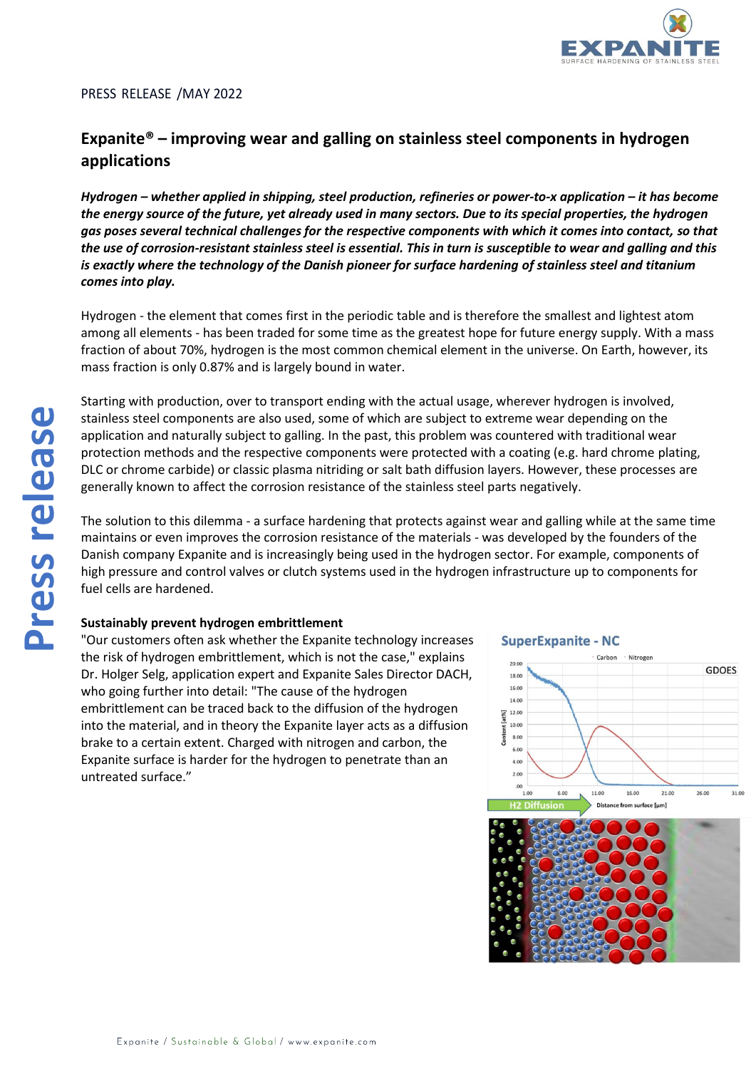

## PRESS RELEASE /MAY 2022

# **Expanite® – improving wear and galling on stainless steel components in hydrogen applications**

*Hydrogen – whether applied in shipping, steel production, refineries or power-to-x application – it has become the energy source of the future, yet already used in many sectors. Due to its special properties, the hydrogen gas poses several technical challenges for the respective components with which it comes into contact, so that the use of corrosion-resistant stainless steel is essential. This in turn is susceptible to wear and galling and this is exactly where the technology of the Danish pioneer for surface hardening of stainless steel and titanium comes into play.*

Hydrogen - the element that comes first in the periodic table and is therefore the smallest and lightest atom among all elements - has been traded for some time as the greatest hope for future energy supply. With a mass fraction of about 70%, hydrogen is the most common chemical element in the universe. On Earth, however, its mass fraction is only 0.87% and is largely bound in water.

Starting with production, over to transport ending with the actual usage, wherever hydrogen is involved, stainless steel components are also used, some of which are subject to extreme wear depending on the application and naturally subject to galling. In the past, this problem was countered with traditional wear protection methods and the respective components were protected with a coating (e.g. hard chrome plating, DLC or chrome carbide) or classic plasma nitriding or salt bath diffusion layers. However, these processes are generally known to affect the corrosion resistance of the stainless steel parts negatively.

The solution to this dilemma - a surface hardening that protects against wear and galling while at the same time maintains or even improves the corrosion resistance of the materials - was developed by the founders of the Danish company Expanite and is increasingly being used in the hydrogen sector. For example, components of high pressure and control valves or clutch systems used in the hydrogen infrastructure up to components for fuel cells are hardened.

## **Sustainably prevent hydrogen embrittlement**

"Our customers often ask whether the Expanite technology increases the risk of hydrogen embrittlement, which is not the case," explains Dr. Holger Selg, application expert and Expanite Sales Director DACH, who going further into detail: "The cause of the hydrogen embrittlement can be traced back to the diffusion of the hydrogen into the material, and in theory the Expanite layer acts as a diffusion brake to a certain extent. Charged with nitrogen and carbon, the Expanite surface is harder for the hydrogen to penetrate than an untreated surface."

## **SuperExpanite - NC**